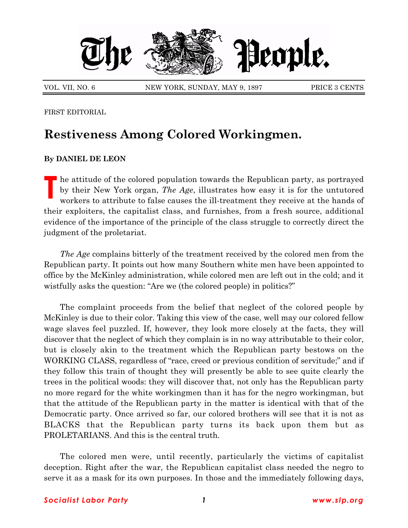

VOL. VII, NO. 6 NEW YORK, SUNDAY, MAY 9, 1897 PRICE 3 CENTS

FIRST EDITORIAL

## **Restiveness Among Colored Workingmen.**

## **By DANIEL DE LEON**

**T** he attitude of the colored population towards the Republican party, as portrayed by their New York organ, *The Age*, illustrates how easy it is for the untutored workers to attribute to false causes the ill-treatment they receive at the hands of their exploiters, the capitalist class, and furnishes, from a fresh source, additional evidence of the importance of the principle of the class struggle to correctly direct the judgment of the proletariat.

*The Age* complains bitterly of the treatment received by the colored men from the Republican party. It points out how many Southern white men have been appointed to office by the McKinley administration, while colored men are left out in the cold; and it wistfully asks the question: "Are we (the colored people) in politics?"

The complaint proceeds from the belief that neglect of the colored people by McKinley is due to their color. Taking this view of the case, well may our colored fellow wage slaves feel puzzled. If, however, they look more closely at the facts, they will discover that the neglect of which they complain is in no way attributable to their color, but is closely akin to the treatment which the Republican party bestows on the WORKING CLASS, regardless of "race, creed or previous condition of servitude;" and if they follow this train of thought they will presently be able to see quite clearly the trees in the political woods: they will discover that, not only has the Republican party no more regard for the white workingmen than it has for the negro workingman, but that the attitude of the Republican party in the matter is identical with that of the Democratic party. Once arrived so far, our colored brothers will see that it is not as BLACKS that the Republican party turns its back upon them but as PROLETARIANS. And this is the central truth.

The colored men were, until recently, particularly the victims of capitalist deception. Right after the war, the Republican capitalist class needed the negro to serve it as a mask for its own purposes. In those and the immediately following days,